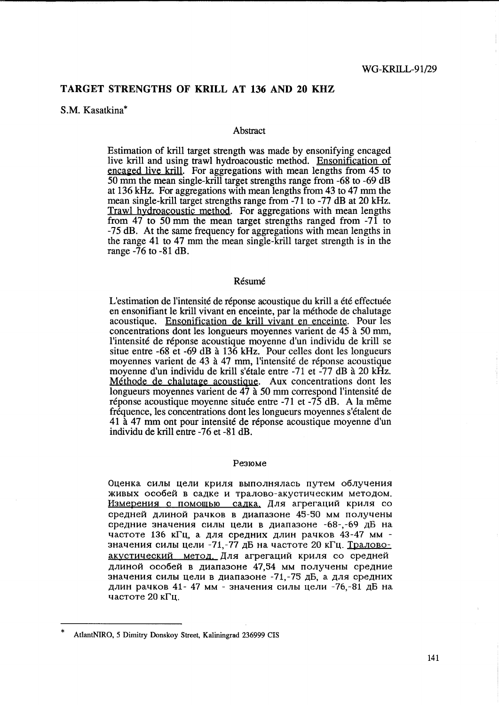# TARGET STRENGTHS OF KRILL AT 136 AND 20 KHZ

## S.M. Kasatkina\*

### **Abstract**

Estimation of krill target strength was made by ensonifying encaged live kriU and using trawl hydroacoustic method. Ensonification of encaged live krill. For aggregations with mean lengths from 45 to 50 mm the mean single-kriU target strengths range from -68 to -69 dB at 136 kRz. For aggregations with mean lengths from 43 to 47 mm the mean single-krill target strengths range from -71 to -77 dB at 20 kHz. Trawl hydroacoustic method. For aggregations with mean lengths from 47 to 50 mm the mean target strengths ranged from  $-7\overline{1}$  to -75 dB. At the same frequency for aggregations with mean lengths in the range 41 to 47 mm the mean single-krill target strength is in the range -76 to -81 dB.

### **Résumé**

L'estimation de l'intensité de réponse acoustique du krill a été effectuée en ensonifiant le kriU vivant en enceinte, par la methode de chalutage acoustique. Ensonification de krill yivant en enceinte. Pour les concentrations dont les longueurs moyennes varient de 45 a 50 mm, l'intensite de reponse acoustique moyenne d'un individu de krill se situe entre  $-68$  et  $-69$  dB à  $13\overline{6}$  kHz. Pour celles dont les longueurs moyennes varient de 43 à 47 mm, l'intensité de réponse acoustique moyenne d'un individu de krill s'étale entre -71 et -77 dB à 20 kHz. Méthode de chalutage acoustique. Aux concentrations dont les longueurs moyennes varient de 47 a 50 mm correspond l'intensite de réponse acoustique moyenne située entre -71 et -75 dB. A la même frequence, les concentrations dont les longueurs moyennes s'etalent de 41 a 47 mm ont pour intensite de reponse acoustique moyenne d'un individu de kriU entre -76 et -81 dB.

#### Pe3IOMe

Oценка силы цели криля выполнялась путем облучения живых особей в садке и тралово-акустическим методом. Измерения с помощью садка. Для агрегаций криля со средней длиной рачков в диапазоне 45-50 мм получены средние значения силы цели в диапазоне -68-, -69 дБ на частоте 136 кГц, а для средних длин рачков 43-47 мм значения силы цели -71,-77 дБ на частоте 20 кГц. Траловоакустический метод. Для агрегаций криля со средней длиной особей в диапазоне 47.54 мм получены средние значения силы цели в диапазоне -71,-75 дБ, а для средних длин рачков 41- 47 мм - значения силы цели -76,-81 дБ на частоте  $20$  к $\Gamma$ и.

AtlantNIRO, 5 Dimitry Donskoy Street, Kaliningrad 236999 CIS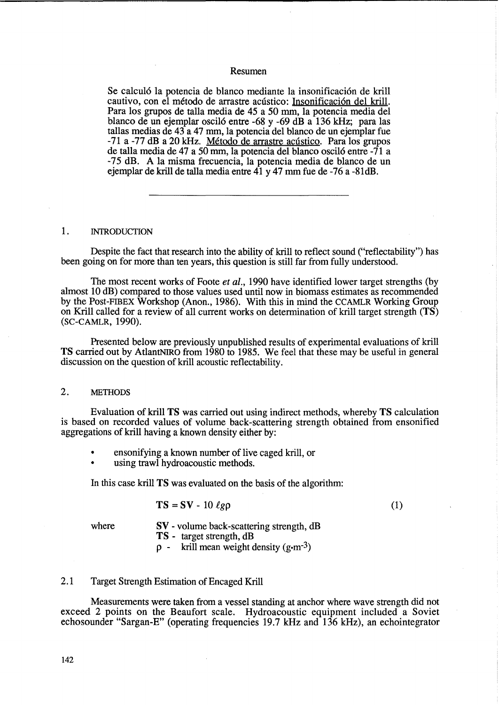### Resumen

Se calculó la potencia de blanco mediante la insonificación de krill cautivo, con el método de arrastre acústico: Insonificación del krill. Para los grupos de talla media de 45 a 50 mm, la potencia media del blanco de un ejemplar oscil6 entre -68 y -69 dB a 136 kHz; para las tallas medias de 43 a 47 mm, la potencia del blanco de un ejemplar fue -71 a -77 dB a 20 kHz. Método de arrastre acústico. Para los grupos de talla media de 47 a 50 mm, la potencia del blanco oscil6 entre -71 a -75 dB. A la misma frecuencia, la potencia media de blanco de un ejemplar de krill de talla media entre 41 y 47 mm fue de -76 a -81dB.

#### 1. INTRODUCTION

Despite the fact that research into the ability of krill to reflect sound ("reflectability") has been going on for more than ten years, this question is still far from fully understood.

The most recent works of Foote *et al.,* 1990 have identified lower target strengths (by almost 10 dB) compared to those values used until now in biomass estimates as recommended by the Post-FIBEX Workshop (Anon., 1986). With this in mind the CCAMLR Working Group on Krill called for a review of all current works on determination of krill target strength (TS) (SC-CAMLR, 1990).

Presented below are previously unpublished results of experimental evaluations of krill TS carried out by AtlantNIRO from 1980 to 1985. We feel that these may be useful in general discussion on the question of krill acoustic reflectability.

#### 2. METHODS

Evaluation of krill TS was carried out using indirect methods, whereby TS calculation is based on recorded values of volume back-scattering strength obtained from ensonified aggregations of krill having a known density either by:

- ensonifying a known number of live caged krill, or
- using trawl hydroacoustic methods.

In this case krill TS was evaluated on the basis of the algorithm:

$$
TS = SV - 10 \; \ell g \rho
$$

(1)

where

- SV volume back-scattering strength, dB TS - target strength, dB
- $p -$  krill mean weight density (g-m<sup>-3</sup>)

## 2.1 Target Strength Estimation of Encaged Krill

Measurements were taken from a vessel standing at anchor where wave strength did not exceed 2 points on the Beaufort scale. Hydroacoustic equipment included a Soviet echo sounder "Sargan-E" (operating frequencies 19.7 kHz and 136 kHz), an echointegrator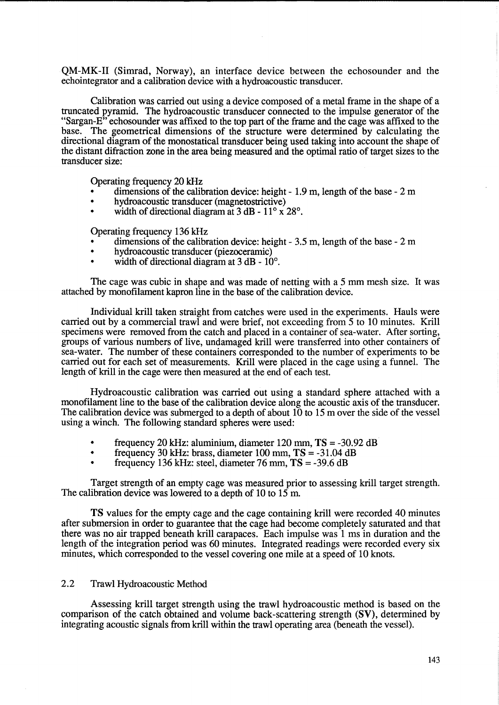QM-MK-II (Simrad, Norway), an interface device between the echosounder and the echointegrator and a calibration device with a hydroacoustic transducer.

Calibration was carried out using a device composed of a metal frame in the shape of a truncated pyramid. The hydroacoustic transducer connected to the impulse generator of the "Sargan-E" echosounder was affixed to the top part of the frame and the cage was affixed to the base. The geometrical dimensions of the structure were determined by calculating the directional diagram of the monostatical transducer being used taking into account the shape of the distant difraction zone in the area being measured and the optimal ratio of target sizes to the transducer size:

Operating frequency 20 kHz

- dimensions of the calibration device: height 1.9 m, length of the base 2 m
- hydroacoustic transducer (magnetostrictive)
- width of directional diagram at  $3$  dB  $11^{\circ}$  x  $28^{\circ}$ .

Operating frequency 136 kHz

- dimensions of the calibration device: height 3.5 m, length of the base 2 m
- hydroacoustic transducer (piezoceramic)
- width of directional diagram at  $3$  dB  $10^{\circ}$ .

The cage was cubic in shape and was made of netting with a 5 mm mesh size. It was attached by monofilament kapron line in the base of the calibration device.

Individual krill taken straight from catches were used in the experiments. Hauls were carried out by a commercial trawl and were brief, not exceeding from 5 to 10 minutes. Krill specimens were removed from the catch and placed in a container of sea-water. After sorting, groups of various numbers of live, undamaged krill were transferred into other containers of sea-water. The number of these containers corresponded to the number of experiments to be carried out for each set of measurements. Krill were placed in the cage using a funnel. The length of krill in the cage were then measured at the end of each test.

Hydroacoustic calibration was carried out using a standard sphere attached with a monofilament line to the base of the calibration device along the acoustic axis of the transducer. The calibration device was submerged to a depth of about 10 to 15 m over the side of the vessel using a winch. The following standard spheres were used:

- frequency 20 kHz: aluminium, diameter  $120$  mm,  $TS = -30.92$  dB<br>• frequency  $30$  kHz: brass, diameter  $100$  mm,  $TS = -31$  04 dB
- frequency 30 kHz: brass, diameter 100 mm, **TS** = -31.04 dB
- frequency 136 kHz: steel, diameter 76 mm, **TS** = -39.6 dB

Target strength of an empty cage was measured prior to assessing krill target strength. The calibration device was lowered to a depth of 10 to 15 m.

**TS** values for the empty cage and the cage containing krill were recorded 40 minutes after submersion in order to guarantee that the cage had become completely saturated and that there was no air trapped beneath kriU carapaces. Each impulse was 1 ms in duration and the length of the integration period was 60 minutes. Integrated readings were recorded every six minutes, which corresponded to the vessel covering one mile at a speed of 10 knots.

# 2.2 Trawl Hydroacoustic Method

Assessing krill target strength using the trawl hydroacoustic method is based on the comparison of the catch obtained and volume back-scattering strength (SV), determined by integrating acoustic signals from krill within the trawl operating area (beneath the vessel).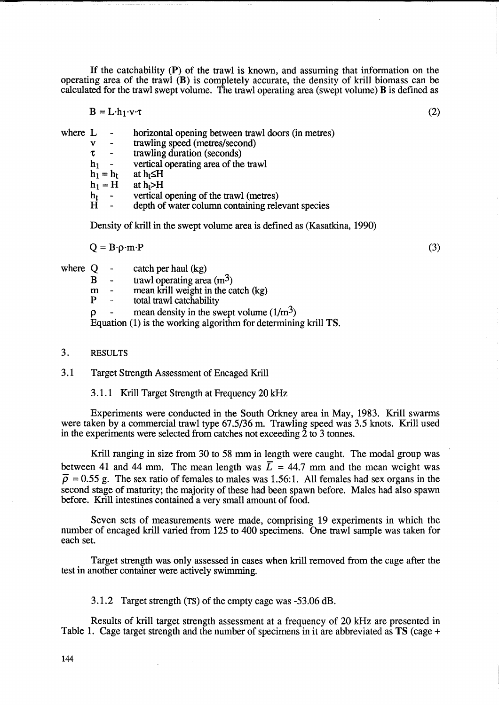If the catchability (P) of the trawl is known, and assuming that information on the operating area of the trawl (B) is completely accurate, the density of krill biomass can be calculated for the trawl swept volume. The trawl operating area (swept volume)  $\bf{B}$  is defined as

$$
B = L \cdot h_1 \cdot v \cdot \tau \tag{2}
$$

where L

- horizontal opening between trawl doors (in metres)
- v trawling speed (metres/second)
- $\tau$ trawling duration (seconds)
- $h_1$  vertical operating area of the trawl
- $h_1 = h_t$ at  $h_t \leq H$
- $h_1 = H$ at  $h_t$ >H
- $h_t$ vertical opening of the trawl (metres)

H depth of water column containing relevant species

Density of krill in the swept volume area is defined as (Kasatkina, 1990)

 $Q = B \cdot \rho \cdot m \cdot P$ 

(3)

- where  $Q \text{catch per hall (kg)}$ 
	- $\mathbf{B}$  trawl operating area (m<sup>3</sup>)<br>m mean krill weight in the ca
	- $m =$  mean krill weight in the catch (kg)<br>P = total trawl catchability
	- total trawl catchability
	- mean density in the swept volume  $(1/m<sup>3</sup>)$

Equation (1) is the working algorithm for determining krill TS.

3. RESULTS

3.1 Target Strength Assessment of Encaged Krill

3.1.1 Krill Target Strength at Frequency 20 kHz

Experiments were conducted in the South Orkney area in May, 1983. Krill swarms were taken by a commercial trawl type 67.5/36 m. Trawling speed was 3.5 knots. Krill used in the experiments were selected from catches not exceeding 2 to 3 tonnes.

Krill ranging in size from 30 to 58 mm in length were caught. The modal group was between 41 and 44 mm. The mean length was  $\overline{L} = 44.7$  mm and the mean weight was  $\overline{\rho}$  = 0.55 g. The sex ratio of females to males was 1.56:1. All females had sex organs in the second stage of maturity; the majority of these had been spawn before. Males had also spawn before. Krill intestines contained a very small amount of food.

Seven sets of measurements were made, comprising 19 experiments in which the number of encaged krill varied from 125 to 400 specimens. One trawl sample was taken for each set.

Target strength was only assessed in cases when krill removed from the cage after the test in another container were actively swimming.

3.1.2 Target strength (TS) of the empty cage was -53.06 dB.

Results of krill target strength assessment at a frequency of 20 kHz are presented in Table 1. Cage target strength and the number of specimens in it are abbreviated as TS (cage +

144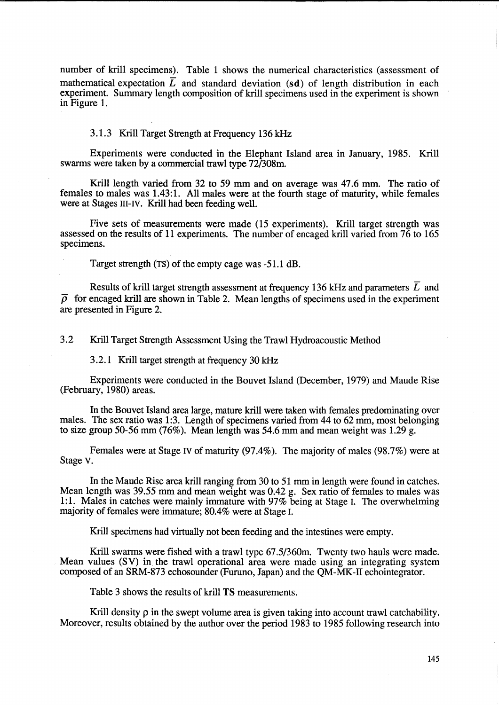number of krill specimens). Table 1 shows the numerical characteristics (assessment of mathematical expectation  $\overline{L}$  and standard deviation (sd) of length distribution in each experiment. Summary length composition of krill specimens used in the experiment is shown in Figure 1.

# 3.1.3 Krill Target Strength at Frequency 136 kHz

Experiments were conducted in the Elephant Island area in January, 1985. Krill swarms were taken by a commercial trawl type 72/308m.

Krill length varied from 32 to 59 mm and on average was 47.6 mm. The ratio of females to males was 1.43:1. All males were at the fourth stage of maturity, while females were at Stages III-IV. Krill had been feeding well.

Five sets of measurements were made (15 experiments). Krill target strength was assessed on the results of 11 experiments. The number of encaged krill varied from  $76$  to  $165$ specimens.

Target strength (TS) of the empty cage was -51.1 dB.

Results of krill target strength assessment at frequency 136 kHz and parameters  $\overline{L}$  and  $\overline{\rho}$  for encaged krill are shown in Table 2. Mean lengths of specimens used in the experiment are presented in Figure 2.

3.2 Krill Target Strength Assessment Using the Trawl Hydroacoustic Method

3.2.1 Krill target strength at frequency 30 kHz

Experiments were conducted in the Bouvet Island (December, 1979) and Maude Rise (February, 1980) areas.

In the Bouvet Island area large, mature krill were taken with females predominating over males. The sex ratio was 1:3. Length of specimens varied from 44 to 62 mm, most belonging to size group 50-56 mm (76%). Mean length was 54.6 mm and mean weight was 1.29 g.

Females were at Stage IV of maturity (97.4%). The majority of males (98.7%) were at Stage v.

In the Maude Rise area krill ranging from 30 to 51 mm in length were found in catches. Mean length was 39.55 mm and mean weight was 0.42 g. Sex ratio of females to males was 1:1. Males in catches were mainly immature with 97% being at Stage I. The overwhelming majority of females were immature; 80.4% were at Stage I.

Krill specimens had virtually not been feeding and the intestines were empty.

Krill swarms were fished with a trawl type 67.5/360m. Twenty two hauls were made. Mean values (SV) in the trawl operational area were made using an integrating system composed of an SRM-873 echosounder (Furuno, Japan) and the QM-MK-ll echointegrator.

Table 3 shows the results of krill **TS** measurements.

Krill density  $\rho$  in the swept volume area is given taking into account trawl catchability. Moreover, results obtained by the author over the period 1983 to 1985 following research into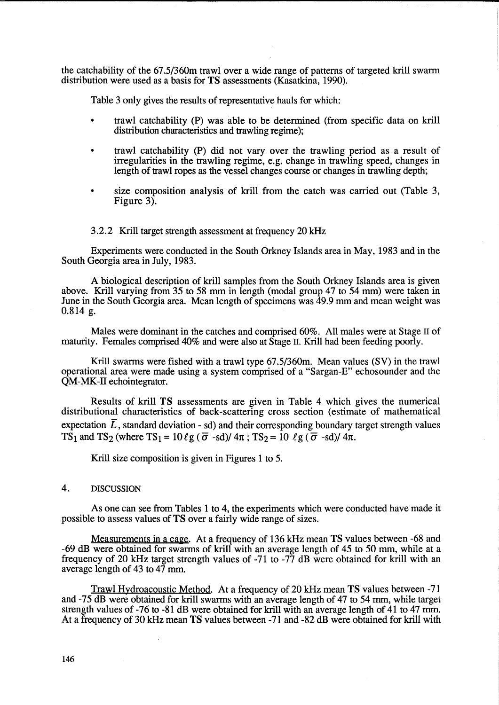the catchability of the 67.5/360m trawl over a wide range of patterns of targeted krill swarm distribution were used as a basis for TS assessments (Kasatkina, 1990).

Table 3 only gives the results of representative hauls for which:

- trawl catchability (P) was able to be determined (from specific data on krill distribution characteristics and trawling regime);
- trawl catchability (P) did not vary over the trawling period as a result of irregularities in the trawling regime, e.g. change in trawling speed, changes in length of trawl ropes as the vessel changes course or changes in trawling depth;
- size composition analysis of krill from the catch was carried out (Table 3, Figure 3).

3.2.2 Krill target strength assessment at frequency 20 kHz

Experiments were conducted in the South Orkney Islands area in May, 1983 and in the South Georgia area in July, 1983.

A biological description of krill samples from the South Orkney Islands area is given above. Krill varying from 35 to 58 mm in length (modal group 47 to 54 mm) were taken in June in the South Georgia area. Mean length of specimens was 49.9 mm and mean weight was 0.814 g.

Males were dominant in the catches and comprised 60%. All males were at Stage 11 of maturity. Females comprised 40% and were also at Stage 11. Krill had been feeding poorly.

Krill swarms were fished with a trawl type 67.5/360m. Mean values (SV) in the trawl operational area were made using a system comprised of a "Sargan-E" echosounder and the QM-MK-II echointegrator.

Results of krill TS assessments are given in Table 4 which gives the numerical distributional characteristics of back-scattering cross section (estimate of mathematical expectation  $\overline{L}$ , standard deviation - sd) and their corresponding boundary target strength values TS<sub>1</sub> and TS<sub>2</sub> (where TS<sub>1</sub> =  $10 \ell$ g ( $\overline{\sigma}$  -sd)/ $4\pi$ ; TS<sub>2</sub> =  $10 \ell$ g ( $\overline{\sigma}$  -sd)/ $4\pi$ .

Krill size composition is given in Figures 1 to 5.

# 4. DISCUSSION

As one can see from Tables 1 to 4, the experiments which were conducted have made it possible to assess values of TS over a fairly wide range of sizes.

Measurements in a cage. At a frequency of 136 kHz mean TS values between -68 and -69 dB were obtained for swarms of krill with an average length of 45 to 50 mm, while at a frequency of 20 kHz target strength values of -71 to -77 dB were obtained for krill with an average length of 43 to 47 mm.

Trawl Hydroacoustic Method. At a frequency of 20 kHz mean TS values between -71 and -75 dB were obtained for krill swarms with an average length of 47 to 54 mm, while target strength values of -76 to -81 dB were obtained for krill with an average length of 41 to 47 mm. At a frequency of 30 kHz mean TS values between -71 and -82 dB were obtained for krill with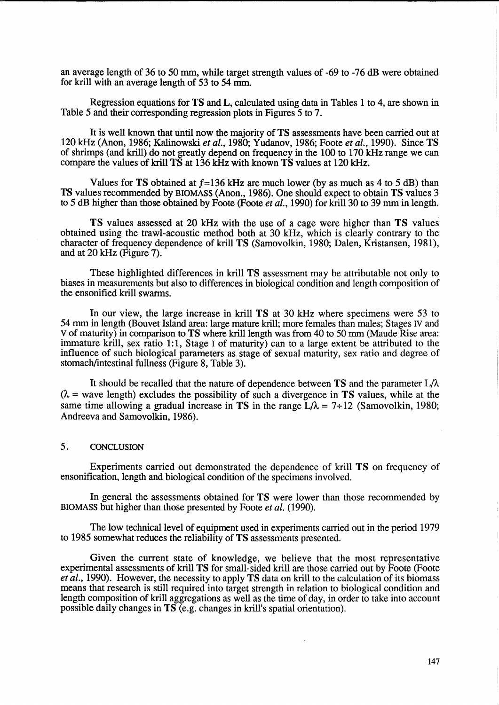an average length of 36 to 50 mm, while target strength values of -69 to -76 dB were obtained for krill with an average length of 53 to 54 mm.

Regression equations for **TS** and L, calculated using data in Tables 1 to 4, are shown in Table 5 and their corresponding regression plots in Figures 5 to 7.

It is well known that until now the majority of **TS** assessments have been carried out at 120 kHz (Anon, 1986; Kalinowski *et* al., 1980; Yudanov, 1986; Foote *et* al., 1990). Since **TS**  of shrimps (and krill) do not greatly depend on frequency in the 100 to 170 kHz range we can compare the values of krill **TS** at 136 kHz with known **TS** values at 120 kHz.

Values for **TS** obtained at *f=136* kHz are much lower (by as much as 4 to 5 dB) than **TS** values recommended by BIOMASS (Anon., 1986). One should expect to obtain **TS** values 3 to 5 dB higher than those obtained by Foote (Foote *et al.*, 1990) for krill 30 to 39 mm in length.

**TS** values assessed at 20 kHz with the use of a cage were higher than **TS** values obtained using the trawl-acoustic method both at 30 kHz, which is clearly contrary to the character of frequency dependence of krill **TS** (Samovolkin, 1980; Dalen, Kristansen, 1981), and at 20 kHz (Figure 7).

These highlighted differences in krill **TS** assessment may be attributable not only to biases in measurements but also to differences in biological condition and length composition of the ensonified krill swarms.

In our view, the large increase in laill **TS** at 30 kHz where specimens were 53 to 54 mm in length (Bouvet Island area: large mature krill; more females than males; Stages IV and V of maturity) in comparison to **TS** where krilllength was from 40 to 50 mm (Maude Rise area: immature krill, sex ratio 1:1, Stage I of maturity) can to a large extent be attributed to the influence of such biological parameters as stage of sexual maturity, sex ratio and degree of stomach/intestinal fullness (Figure 8, Table 3).

It should be recalled that the nature of dependence between **TS** and the parameter L/A.  $(\lambda$  = wave length) excludes the possibility of such a divergence in **TS** values, while at the same time allowing a gradual increase in **TS** in the range  $L/\lambda = 7+12$  (Samovolkin, 1980; Andreeva and Samovolkin, 1986).

# 5. CONCLUSION

Experiments carried out demonstrated the dependence of laill **TS** on frequency of ensonification, length and biological condition of the specimens involved.

In general the assessments obtained for **TS** were lower than those recommended by BIOMASS but higher than those presented by Foote *et* al. (1990).

The low technical level of equipment used in experiments carried out in the period 1979 to 1985 somewhat reduces the reliability of **TS** assessments presented.

Given the current state of knowledge, we believe that the most representative experimental assessments of krill **TS** for small-sided krill are those carried out by Foote (Foote *et* al., 1990). However, the necessity to apply **TS** data on krill to the calculation of its biomass means that research is still required into target strength in relation to biological condition and length composition of krill aggregations as well as the time of day, in order to take into account possible daily changes in **TS** (e.g. changes in krill's spatial orientation).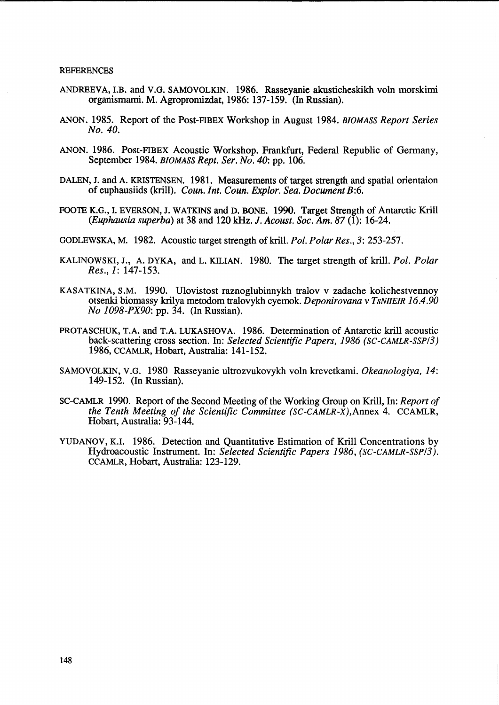#### **REFERENCES**

- ANDREEVA, LB. and V.G. SAMOVOLKIN. 1986. Rasseyanie akusticheskikh voln morskimi organismami. M. Agropromizdat, 1986: 137-159. (In Russian).
- ANON. 1985. Report of the Post-FIBEX Workshop in August 1984. *BIOMASS Report Series No. 40.*
- ANON. 1986. Post-FIBEX Acoustic Workshop. Frankfurt, Federal Republic of Germany, September 1984. *BIOMASS Rept. Ser. No. 40:* pp. 106.
- DALEN, J. and A. KRISTENSEN. 1981. Measurements of target strength and spatial orientaion of euphausiids (krill). *Coun.Int. Coun. Explor. Sea. Document* B:6.
- FOOTE K.G., L EVERSON, J. WATKINS and D. BONE. 1990. Target Strength of Antarctic Krill *(Euphausia superba)* at 38 and 120 kHz. J. *Acoust. Soc. Am.* 87 (1): 16-24.
- GODLEWSKA, M. 1982. Acoustic target strength ofkril1. *Pol. Polar Res.,* 3: 253-257.
- KALINOWSKI, J., A. DYKA, and L. KILIAN. 1980. The target strength of krill. *Pol. Polar Res.,* 1: 147-153.
- KASATKINA, S.M. 1990. UIovistost raznogIubinnykh traIov v zadache kolichestvennoy otsenki biomassy krilya metodom tralovykh cyemok. *Deponirovana* v *TsNIIEIR 16.4.90 No 1098-PX90:* pp. 34. (In Russian).
- PROTASCHUK, T.A. and T.A. LUKASHOVA. 1986. Determination of Antarctic krill acoustic back-scattering cross section. In: *Selected Scientific Papers,* 1986 *(SC-CAMLR-SSPI3)*  1986, CCAMLR, Hobart, Australia: 141-152.
- SAMOVOLKIN, V.G. 1980 Rasseyanie uItrozvukovykh voIn krevetkami. *Okeanologiya, 14:*  149-152. (In Russian).
- SC-CAMLR 1990. Report of the Second Meeting of the Working Group on KriU, In: *Report of the Tenth Meeting of the Scientific Committee (SC-CAMLR-X),Annex* 4. CCAMLR, Hobart, Australia: 93-144.
- YUDANOV, K.I. 1986. Detection and Quantitative Estimation of Krill Concentrations by Hydroacoustic Instrument. In: *Selected Scientific Papers* 1986, *(SC-CAMLR-SSPI3).*  CCAMLR, Hobart, Australia: 123-129.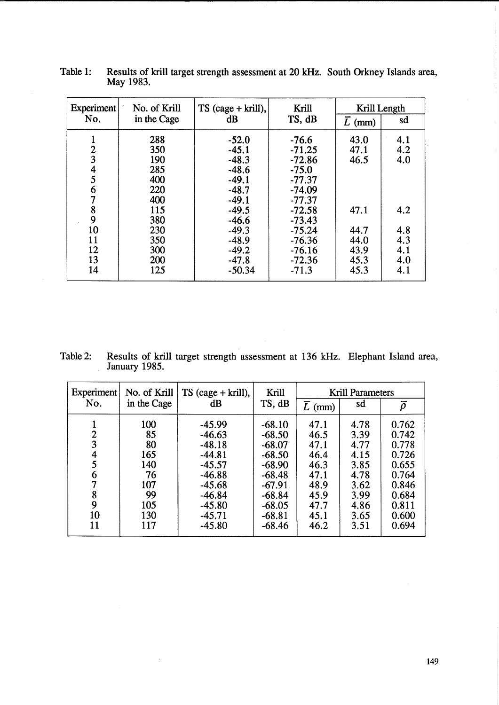| <b>Experiment</b> | No. of Krill | $TS$ (cage + krill), | Krill    | Krill Length        |     |  |
|-------------------|--------------|----------------------|----------|---------------------|-----|--|
| No.               | in the Cage  | $\mathrm{dB}$        | TS, dB   | $\overline{L}$ (mm) | sd  |  |
|                   | 288          | $-52.0$              | $-76.6$  | 43.0                | 4.1 |  |
|                   | 350          | $-45.1$              | $-71.25$ | 47.1                | 4.2 |  |
| $\frac{2}{3}$     | 190          | $-48.3$              | $-72.86$ | 46.5                | 4.0 |  |
| $rac{4}{5}$       | 285          | $-48.6$              | $-75.0$  |                     |     |  |
|                   | 400          | $-49.1$              | $-77.37$ |                     |     |  |
| 6                 | 220          | $-48.7$              | $-74.09$ |                     |     |  |
|                   | 400          | $-49.1$              | $-77.37$ |                     |     |  |
| 8                 | 115          | $-49.5$              | $-72.58$ | 47.1                | 4.2 |  |
| 9                 | 380          | $-46.6$              | $-73.43$ |                     |     |  |
| 10                | 230          | $-49.3$              | $-75.24$ | 44.7                | 4.8 |  |
| 11                | 350          | $-48.9$              | $-76.36$ | 44.0                | 4.3 |  |
| 12                | 300          | $-49.2$              | $-76.16$ | 43.9                | 4.1 |  |
| 13                | 200          | $-47.8$              | $-72.36$ | 45.3                | 4.0 |  |
| 14                | 125          | $-50.34$             | $-71.3$  | 45.3                | 4.1 |  |
|                   |              |                      |          |                     |     |  |

Table 1: Results of krill target strength assessment at 20 kHz. South Orkney Islands area, May 1983.

 $\mathcal{L}_{\mathcal{A}}$ 

Table 2: Results of kriU target strength assessment at 136 kHz. Elephant Island area, January 1985.

| <b>Experiment</b> | No. of Krill | $TS$ (cage + krill), | Krill    | <b>Krill Parameters</b> |      |              |  |
|-------------------|--------------|----------------------|----------|-------------------------|------|--------------|--|
| No.               | in the Cage  | $\mathrm{dB}$        | TS, dB   | $\overline{L}$ (mm)     | sd   | $\bar{\rho}$ |  |
|                   | 100          | $-45.99$             | $-68.10$ | 47.1                    | 4.78 | 0.762        |  |
| 2                 | 85           | $-46.63$             | $-68.50$ | 46.5                    | 3.39 | 0.742        |  |
| 3                 | 80           | $-48.18$             | $-68.07$ | 47.1                    | 4.77 | 0.778        |  |
| 4                 | 165          | $-44.81$             | $-68.50$ | 46.4                    | 4.15 | 0.726        |  |
| 5                 | 140          | $-45.57$             | $-68.90$ | 46.3                    | 3.85 | 0.655        |  |
| 6                 | 76           | $-46.88$             | $-68.48$ | 47.1                    | 4.78 | 0.764        |  |
|                   | 107          | $-45.68$             | $-67.91$ | 48.9                    | 3.62 | 0.846        |  |
| 8                 | 99           | $-46.84$             | $-68.84$ | 45.9                    | 3.99 | 0.684        |  |
| 9                 | 105          | $-45.80$             | $-68.05$ | 47.7                    | 4.86 | 0.811        |  |
| 10                | 130          | $-45.71$             | $-68.81$ | 45.1                    | 3.65 | 0.600        |  |
| 11                | 117          | $-45.80$             | $-68.46$ | 46.2                    | 3.51 | 0.694        |  |

 $\hat{\mathcal{A}}$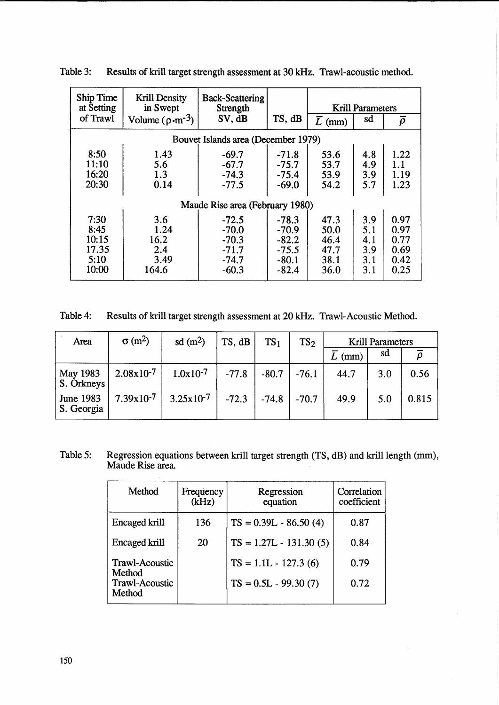| Ship Time<br>at Setting | <b>Krill Density</b><br>in Swept    | <b>Back-Scattering</b><br>Strength |         | <b>Krill Parameters</b> |     |        |  |  |
|-------------------------|-------------------------------------|------------------------------------|---------|-------------------------|-----|--------|--|--|
| of Trawl                | Volume $(\rho \cdot m^{-3})$        | SV, dB                             | TS, dB  | $\overline{L}$ (mm)     | sd  | $\rho$ |  |  |
|                         | Bouvet Islands area (December 1979) |                                    |         |                         |     |        |  |  |
| 8:50                    | 1.43                                | $-69.7$                            | $-71.8$ | 53.6                    | 4.8 | 1.22   |  |  |
| 11:10                   | 5.6                                 | $-67.7$                            | $-75.7$ | 53.7                    | 4.9 | 1.1    |  |  |
| 16:20                   | 1.3                                 | $-74.3$                            | $-75.4$ | 53.9                    | 3.9 | 1.19   |  |  |
| 20:30                   | 0.14                                | $-77.5$                            | $-69.0$ | 54.2                    | 5.7 | 1.23   |  |  |
|                         | Maude Rise area (February 1980)     |                                    |         |                         |     |        |  |  |
| 7:30                    | 3.6                                 | $-72.5$                            | $-78.3$ | 47.3                    | 3.9 | 0.97   |  |  |
| 8:45                    | 1.24                                | $-70.0$                            | $-70.9$ | 50.0                    | 5.1 | 0.97   |  |  |
| 10:15                   | 16.2                                | $-70.3$                            | $-82.2$ | 46.4                    | 4.1 | 0.77   |  |  |
| 17.35                   | 2.4                                 | $-71.7$                            | $-75.5$ | 47.7                    | 3.9 | 0.69   |  |  |
| 5:10                    | 3.49                                | $-74.7$                            | $-80.1$ | 38.1                    | 3.1 | 0.42   |  |  |
| 10:00                   | 164.6                               | $-60.3$                            | $-82.4$ | 36.0                    | 3.1 | 0.25   |  |  |

Table 3: Results of krill target strength assessment at 30 kHz. Trawl-acoustic method.

Table 4: Results of krill target strength assessment at 20 kHz. Trawl-Acoustic Method.

| Area                           | $\sigma$ (m <sup>2</sup> ) | sd(m <sup>2</sup> )   | TS, dB                  | TS <sub>1</sub> | TS <sub>2</sub> | Krill Parameters |     |       |
|--------------------------------|----------------------------|-----------------------|-------------------------|-----------------|-----------------|------------------|-----|-------|
|                                |                            |                       |                         |                 |                 | (mm)             | sa  |       |
| May 1983<br>S. Orkneys         | $2.08x10^{-7}$             | $1.0x10^{-7}$         | $-77.8$                 | $-80.7$ -76.1   |                 | 44.7             | 3.0 | 0.56  |
| <b>June 1983</b><br>S. Georgia | $7.39x10^{-7}$             | $3.25 \times 10^{-7}$ | $-72.3$ $-74.8$ $-70.7$ |                 |                 | 49.9             | 5.0 | 0.815 |

Table 5: Regression equations between krill target strength (TS, dB) and krill length (mm), Maude Rise area.

| Method                                                   | Frequency<br>Regression<br>(kHz)<br>equation |                                                  | Correlation<br>coefficient |
|----------------------------------------------------------|----------------------------------------------|--------------------------------------------------|----------------------------|
| Encaged krill                                            | 136                                          | $TS = 0.39L - 86.50(4)$                          | 0.87                       |
| <b>Encaged krill</b>                                     | 20                                           | $TS = 1.27L - 131.30(5)$                         | 0.84                       |
| <b>Trawl-Acoustic</b><br>Method<br><b>Trawl-Acoustic</b> |                                              | $TS = 1.1L - 127.3(6)$<br>$TS = 0.5L - 99.30(7)$ | 0.79<br>0.72               |
| Method                                                   |                                              |                                                  |                            |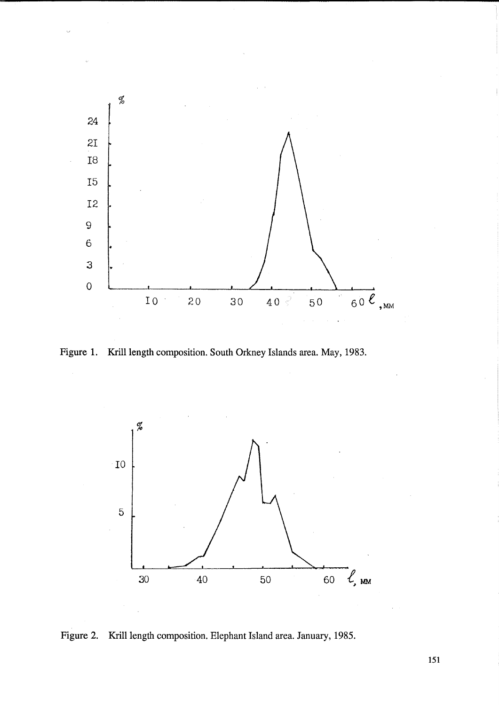

Figure 1. Krill length composition. South Orkney Islands area. May, 1983.



Figure 2. Krill length composition. Elephant Island area. January, 1985.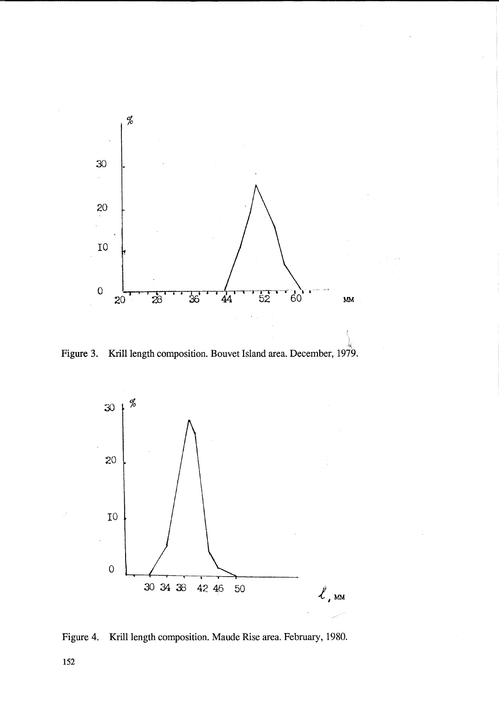

Figure 3. Krill length composition. Bouvet Island area. December, 1979.



Figure 4. Krill length composition. Maude Rise area. February, 1980.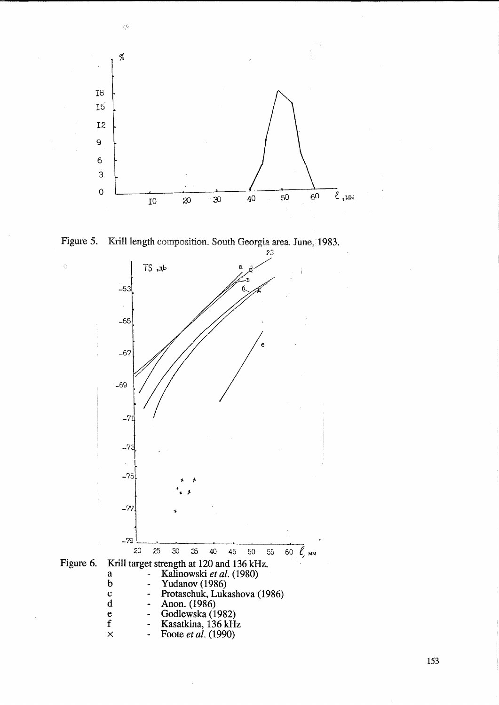



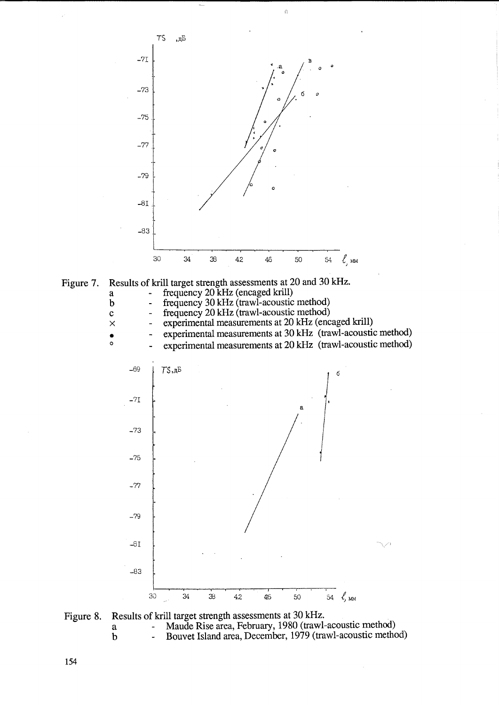

 $\hat{Q}$ 

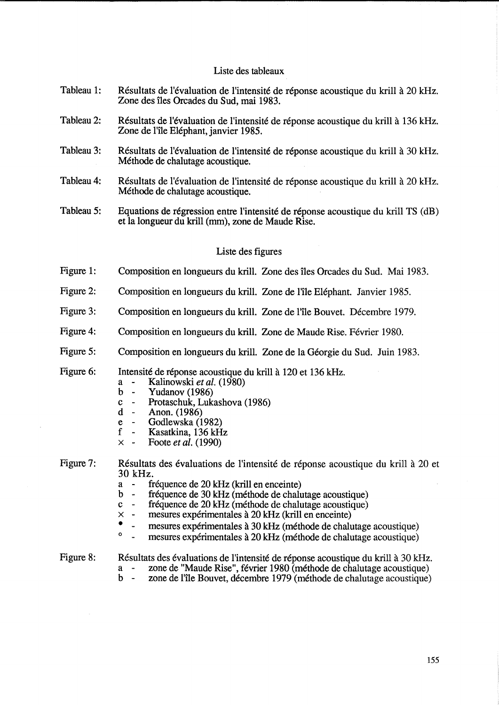## Liste des tableaux

- Tableau 1: Résultats de l'évaluation de l'intensité de réponse acoustique du krill à 20 kHz. Zone des îles Orcades du Sud, mai 1983.
- Tableau 2: Résultats de l'évaluation de l'intensité de réponse acoustique du krill à 136 kHz. Zone de l'île Eléphant, janvier 1985.
- Tableau 3: Résultats de l'évaluation de l'intensité de réponse acoustique du krill à 30 kHz. Methode de chalutage acoustique.
- Tableau 4: Résultats de l'évaluation de l'intensité de réponse acoustique du krill à 20 kHz. Methode de chalutage acoustique.
- Tableau 5: Equations de régression entre l'intensité de réponse acoustique du krill TS (dB) et la longueur du krill (mm), zone de Maude Rise.

## Liste des figures

- Figure 1: Composition en longueurs du krill. Zone des iles Orcades du Sud. Mai 1983.
- Figure 2: Composition en longueurs du krill. Zone de l'île Eléphant. Janvier 1985.
- Figure 3: Composition en longueurs du krill. Zone de l'île Bouvet. Décembre 1979.
- Figure 4: Composition en longueurs du krill. Zone de Maude Rise. Février 1980.
- Figure 5: Composition en longueurs du krill. Zone de la Géorgie du Sud. Juin 1983.
- Figure 6: Intensité de réponse acoustique du krill à 120 et 136 kHz.
	- a Kalinowski *et al. (1980)*
	- Yudanov  $(1986)$
	- c Protaschuk, Lukashova (1986)<br>d Anon. (1986)
	- d Anon. (1986)
	- e Godlewska (1982)<br>f Kasatkina, 136 kH
	- Kasatkina, 136 kHz
	- x Foote *et al. (1990)*

Figure 7: Résultats des évaluations de l'intensité de réponse acoustique du krill à 20 et  $30 \text{ kHz}$ .<br>  $a - \text{ ft}$ <br>  $b - \text{ ft}$ 

- a fréquence de 20 kHz (krill en enceinte)<br>b fréquence de 30 kHz (méthode de chalu
- b fréquence de 30 kHz (méthode de chalutage acoustique)<br>c fréquence de 20 kHz (méthode de chalutage acoustique)
- c fréquence de 20 kHz (méthode de chalutage acoustique)<br>  $\times$  mesures expérimentales à 20 kHz (krill en enceinte)
- $\times$  mesures expérimentales à 20 kHz (krill en enceinte)
- mesures expérimentales à  $30 \text{ kHz}$  (méthode de chalutage acoustique)
	- mesures expérimentales à 20 kHz (méthode de chalutage acoustique)
- Figure 8: Résultats des évaluations de l'intensité de réponse acoustique du krill à 30 kHz.
	- a zone de "Maude Rise", fevrier 1980 (methode de chalutage acoustique)
	- b zone de l'île Bouvet, décembre 1979 (méthode de chalutage acoustique)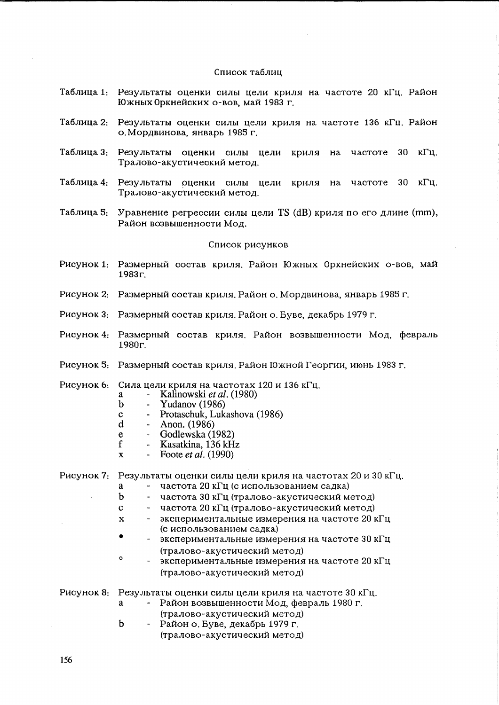#### Список таблиц

- Таблица 1: Результаты оценки силы цели криля на частоте 20 кГц. Район Южных Оркнейских о-вов, май 1983 г.
- Таблица 2: Результаты оценки силы цели криля на частоте 136 кГц. Район о. Мордвинова, январь 1985 г.
- Таблица 3: Результаты оценки силы цели криля на частоте 30 кГц. Тралово-акустический метод.
- Таблица 4: Результаты оценки силы цели криля на частоте 30 кГц. Тралово-акустический метод.
- Таблица 5: Уравнение регрессии силы цели TS (dB) криля по его длине (mm), Район возвышенности Мод.

#### Список рисунков

- Рисунок 1: Размерный состав криля. Район Южных Оркнейских о-вов, май 1983r.
- Рисунок 2: Размерный состав криля. Район о. Мордвинова, январь 1985 г.
- Рисунок 3: Размерный состав криля. Район о. Буве, декабрь 1979 г.
- Рисунок 4: Размерный состав криля. Район возвышенности Мод, февраль 1980r.
- Рисунок 5: Размерный состав криля. Район Южной Георгии, июнь 1983 г.

Рисунок 6: Сила цели криля на частотах 120 и 136 кГц.

- a Kalinowski *et al.* (1980)<br>b Yudanov (1986)
	- Yudanov  $(1986)$
- c Protaschuk, Lukashova (1986)
- d Anon. (1986)
- e Godlewska (1982)<br>f Kasatkina, 136 kH
- Kasatkina, 136 kHz<br>- Foote *et al.* (1990)
- $x \rightarrow$  Foote *et al.* (1990)

Рисунок 7: Результаты оценки силы цели криля на частотах 20 и 30 кГц.

- а частота 20 кГц (с использованием садка)
- b частота 30 кГц (тралово-акустический метод)
- c частота 20 кГц (тралово-акустический метод)

 $x - 3$ кспериментальные измерения на частоте 20 к $\Gamma$ ц. (с использованием садка)

- экспериментальные измерения на частоте 30 к $\Gamma$ ц (тралово-акустический метод)
- o экспериментальные измерения на частоте 20 кГц (тралово-акустический метод)

Рисунок 8: Результаты оценки силы цели криля на частоте 30 кГц.

- a Район возвышенности Мод, февраль 1980 г. (тралово-акустический метод)
- b Район о. Буве, декабрь 1979 г.

(тралово-акустический метод)